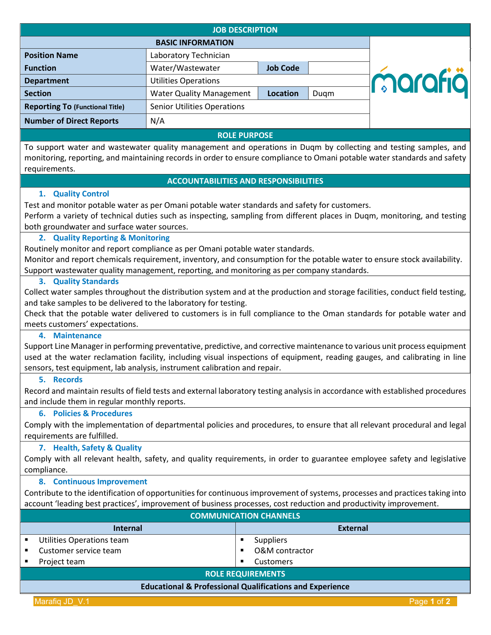| <b>JOB DESCRIPTION</b>                 |                                    |                 |      |         |
|----------------------------------------|------------------------------------|-----------------|------|---------|
| <b>BASIC INFORMATION</b>               |                                    |                 |      |         |
| <b>Position Name</b>                   | Laboratory Technician              |                 |      |         |
| <b>Function</b>                        | Water/Wastewater                   | <b>Job Code</b> |      |         |
| <b>Department</b>                      | <b>Utilities Operations</b>        |                 |      | marafiä |
| <b>Section</b>                         | <b>Water Quality Management</b>    | <b>Location</b> | Duqm |         |
| <b>Reporting To (Functional Title)</b> | <b>Senior Utilities Operations</b> |                 |      |         |
| <b>Number of Direct Reports</b>        | N/A                                |                 |      |         |
| <b>ROLE PURPOSE</b>                    |                                    |                 |      |         |

To support water and wastewater quality management and operations in Duqm by collecting and testing samples, and monitoring, reporting, and maintaining records in order to ensure compliance to Omani potable water standards and safety requirements.

### **ACCOUNTABILITIES AND RESPONSIBILITIES**

### **1. Quality Control**

Test and monitor potable water as per Omani potable water standards and safety for customers.

Perform a variety of technical duties such as inspecting, sampling from different places in Duqm, monitoring, and testing both groundwater and surface water sources.

# **2. Quality Reporting & Monitoring**

Routinely monitor and report compliance as per Omani potable water standards.

Monitor and report chemicals requirement, inventory, and consumption for the potable water to ensure stock availability. Support wastewater quality management, reporting, and monitoring as per company standards.

### **3. Quality Standards**

Collect water samples throughout the distribution system and at the production and storage facilities, conduct field testing, and take samples to be delivered to the laboratory for testing.

Check that the potable water delivered to customers is in full compliance to the Oman standards for potable water and meets customers' expectations.

## **4. Maintenance**

Support Line Manager in performing preventative, predictive, and corrective maintenance to various unit process equipment used at the water reclamation facility, including visual inspections of equipment, reading gauges, and calibrating in line sensors, test equipment, lab analysis, instrument calibration and repair.

### **5. Records**

Record and maintain results of field tests and external laboratory testing analysis in accordance with established procedures and include them in regular monthly reports.

## **6. Policies & Procedures**

Comply with the implementation of departmental policies and procedures, to ensure that all relevant procedural and legal requirements are fulfilled.

## **7. Health, Safety & Quality**

Comply with all relevant health, safety, and quality requirements, in order to guarantee employee safety and legislative compliance.

### **8. Continuous Improvement**

Contribute to the identification of opportunities for continuous improvement of systems, processes and practices taking into account 'leading best practices', improvement of business processes, cost reduction and productivity improvement.

| <b>COMMUNICATION CHANNELS</b>                                       |                  |  |  |  |
|---------------------------------------------------------------------|------------------|--|--|--|
| <b>Internal</b>                                                     | <b>External</b>  |  |  |  |
| Utilities Operations team                                           | <b>Suppliers</b> |  |  |  |
| Customer service team                                               | O&M contractor   |  |  |  |
| Project team                                                        | Customers<br>п   |  |  |  |
| <b>ROLE REQUIREMENTS</b>                                            |                  |  |  |  |
| <b>Educational &amp; Professional Qualifications and Experience</b> |                  |  |  |  |